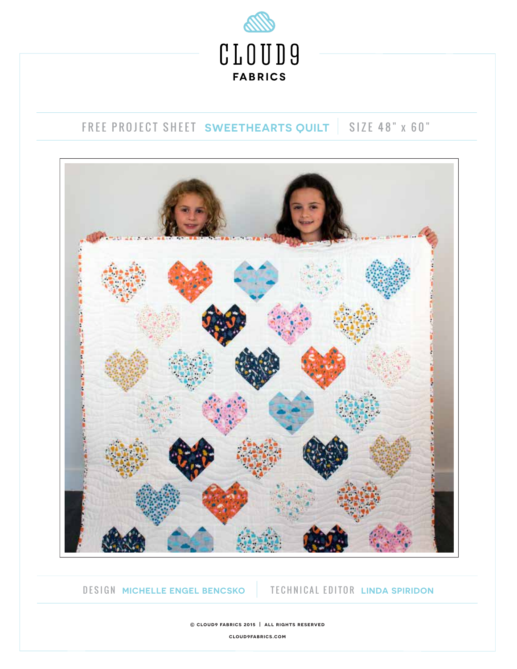

## FREE PROJECT SHEET **SWEETHEARTS QUILT** SIZE 48" x 60"



DESIGN **MICHELLE ENGEL BENCSKO** TECHNICAL EDITOR **LINDA SPIRIDON**

**© cloud9 fabrics 2015 | all rights reserved cloud9fabrics.com**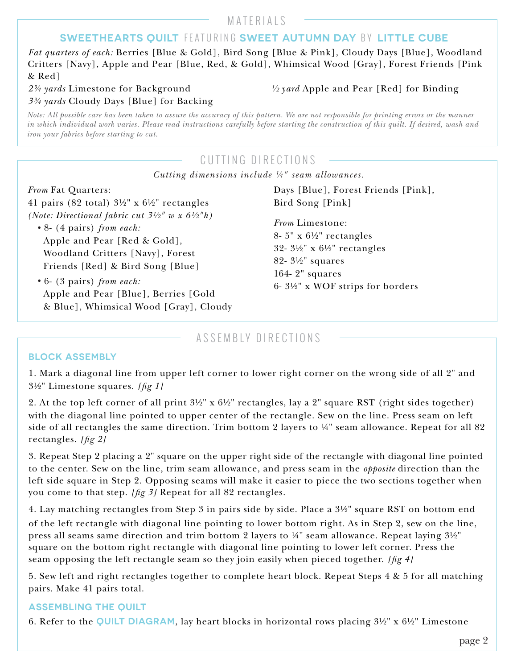MATERIALS

### **SWEETHEARTS OUILT FEATURING SWEET AUTUMN DAY BY LITTLE CUBE**

*Fat quarters of each:* Berries [Blue & Gold], Bird Song [Blue & Pink], Cloudy Days [Blue], Woodland Critters [Navy], Apple and Pear [Blue, Red, & Gold], Whimsical Wood [Gray], Forest Friends [Pink & Red]

*3¾ yards* Cloudy Days [Blue] for Backing

*2¾ yards* Limestone for Background *½ yard* Apple and Pear [Red] for Binding

*Note: All possible care has been taken to assure the accuracy of this pattern. We are not responsible for printing errors or the manner in which individual work varies. Please read instructions carefully before starting the construction of this quilt. If desired, wash and iron your fabrics before starting to cut.*

## CUTTING DIRECTIONS

*Cutting dimensions include ¼" seam allowances.*

# *From* Fat Quarters:

41 pairs (82 total)  $3\frac{1}{2}$ " x  $6\frac{1}{2}$ " rectangles *(Note: Directional fabric cut 3½" w x 6½"h)*

- *•* 8- (4 pairs) *from each:* Apple and Pear [Red & Gold], Woodland Critters [Navy], Forest Friends [Red] & Bird Song [Blue]
- *•* 6- (3 pairs) *from each:* Apple and Pear [Blue], Berries [Gold & Blue], Whimsical Wood [Gray], Cloudy

Days [Blue], Forest Friends [Pink], Bird Song [Pink]

*From* Limestone: 8- 5" x 6½" rectangles 32- 3½" x 6½" rectangles 82- 3½" squares 164- 2" squares 6- 3½" x WOF strips for borders

### ASSEMBLY DIRECTIONS

### **BLOCK ASSEMBLY**

1. Mark a diagonal line from upper left corner to lower right corner on the wrong side of all 2" and 3½" Limestone squares. *[g 1]*

2. At the top left corner of all print 3½" x 6½" rectangles, lay a 2" square RST (right sides together) with the diagonal line pointed to upper center of the rectangle. Sew on the line. Press seam on left side of all rectangles the same direction. Trim bottom 2 layers to ¼" seam allowance. Repeat for all 82 rectangles. *[g 2]*

3. Repeat Step 2 placing a 2" square on the upper right side of the rectangle with diagonal line pointed to the center. Sew on the line, trim seam allowance, and press seam in the *opposite* direction than the left side square in Step 2. Opposing seams will make it easier to piece the two sections together when you come to that step. *[fig 3]* Repeat for all 82 rectangles.

4. Lay matching rectangles from Step 3 in pairs side by side. Place a 3½" square RST on bottom end of the left rectangle with diagonal line pointing to lower bottom right. As in Step 2, sew on the line, press all seams same direction and trim bottom 2 layers to ¼" seam allowance. Repeat laying 3½" square on the bottom right rectangle with diagonal line pointing to lower left corner. Press the seam opposing the left rectangle seam so they join easily when pieced together. *[g 4]*

5. Sew left and right rectangles together to complete heart block. Repeat Steps 4 & 5 for all matching pairs. Make 41 pairs total.

### **ASSEMBLING THE QUILT**

6. Refer to the **QUILT DIAGRAM**, lay heart blocks in horizontal rows placing 3½" x 6½" Limestone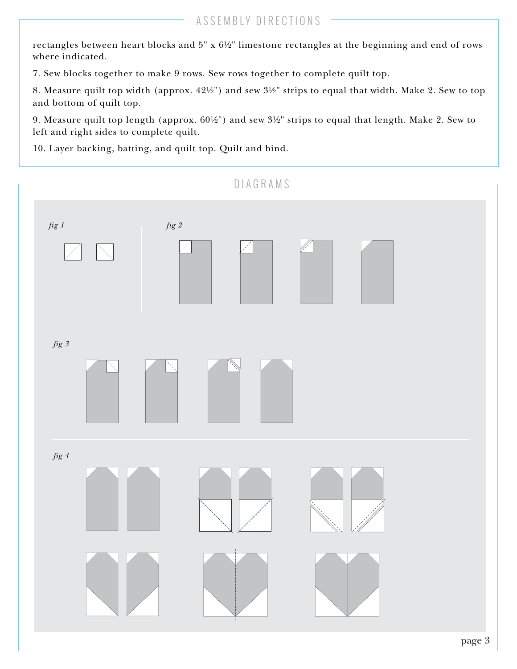rectangles between heart blocks and 5" x 6½" limestone rectangles at the beginning and end of rows where indicated.

7. Sew blocks together to make 9 rows. Sew rows together to complete quilt top.

8. Measure quilt top width (approx. 42½") and sew 3½" strips to equal that width. Make 2. Sew to top and bottom of quilt top.

9. Measure quilt top length (approx. 60½") and sew 3½" strips to equal that length. Make 2. Sew to left and right sides to complete quilt.

10. Layer backing, batting, and quilt top. Quilt and bind.